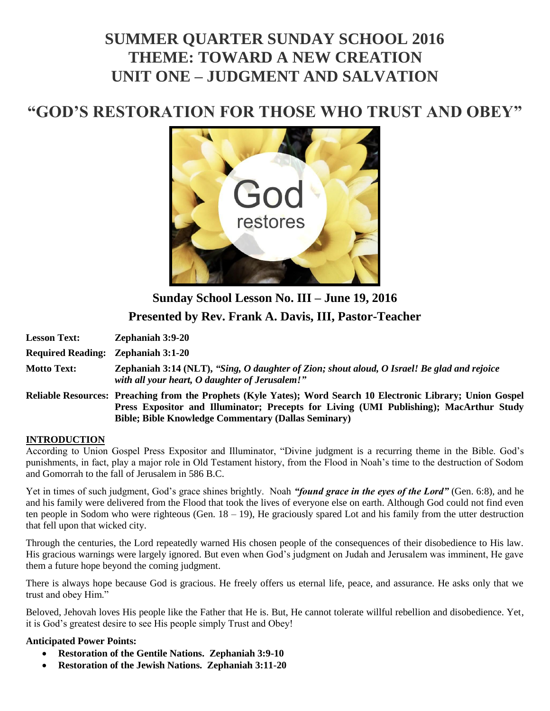# **SUMMER QUARTER SUNDAY SCHOOL 2016 THEME: TOWARD A NEW CREATION UNIT ONE – JUDGMENT AND SALVATION**

# **"GOD'S RESTORATION FOR THOSE WHO TRUST AND OBEY"**



## **Sunday School Lesson No. III – June 19, 2016 Presented by Rev. Frank A. Davis, III, Pastor-Teacher**

**Lesson Text: Zephaniah 3:9-20 Required Reading: Zephaniah 3:1-20 Motto Text: Zephaniah 3:14 (NLT),** *"Sing, O daughter of Zion; shout aloud, O Israel! Be glad and rejoice with all your heart, O daughter of Jerusalem!"* **Reliable Resources: Preaching from the Prophets (Kyle Yates); Word Search 10 Electronic Library; Union Gospel Press Expositor and Illuminator; Precepts for Living (UMI Publishing); MacArthur Study Bible; Bible Knowledge Commentary (Dallas Seminary)**

#### **INTRODUCTION**

According to Union Gospel Press Expositor and Illuminator, "Divine judgment is a recurring theme in the Bible. God's punishments, in fact, play a major role in Old Testament history, from the Flood in Noah's time to the destruction of Sodom and Gomorrah to the fall of Jerusalem in 586 B.C.

Yet in times of such judgment, God's grace shines brightly. Noah *"found grace in the eyes of the Lord"* (Gen. 6:8), and he and his family were delivered from the Flood that took the lives of everyone else on earth. Although God could not find even ten people in Sodom who were righteous (Gen.  $18 - 19$ ), He graciously spared Lot and his family from the utter destruction that fell upon that wicked city.

Through the centuries, the Lord repeatedly warned His chosen people of the consequences of their disobedience to His law. His gracious warnings were largely ignored. But even when God's judgment on Judah and Jerusalem was imminent, He gave them a future hope beyond the coming judgment.

There is always hope because God is gracious. He freely offers us eternal life, peace, and assurance. He asks only that we trust and obey Him."

Beloved, Jehovah loves His people like the Father that He is. But, He cannot tolerate willful rebellion and disobedience. Yet, it is God's greatest desire to see His people simply Trust and Obey!

#### **Anticipated Power Points:**

- **Restoration of the Gentile Nations. Zephaniah 3:9-10**
- **Restoration of the Jewish Nations. Zephaniah 3:11-20**